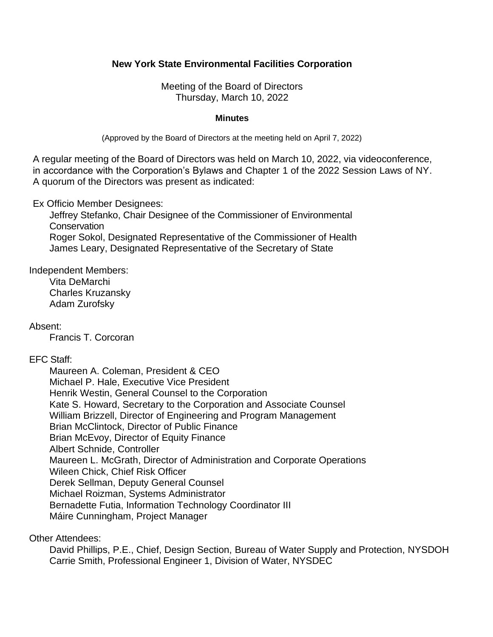# **New York State Environmental Facilities Corporation**

 Meeting of the Board of Directors Thursday, March 10, 2022

#### **Minutes**

(Approved by the Board of Directors at the meeting held on April 7, 2022)

 A regular meeting of the Board of Directors was held on March 10, 2022, via videoconference, in accordance with the Corporation's Bylaws and Chapter 1 of the 2022 Session Laws of NY. A quorum of the Directors was present as indicated:

Ex Officio Member Designees:

 Jeffrey Stefanko, Chair Designee of the Commissioner of Environmental **Conservation** Roger Sokol, Designated Representative of the Commissioner of Health James Leary, Designated Representative of the Secretary of State

Independent Members: Vita DeMarchi

Charles Kruzansky Adam Zurofsky

Absent:

Francis T. Corcoran

#### EFC Staff:

 Kate S. Howard, Secretary to the Corporation and Associate Counsel Maureen A. Coleman, President & CEO Michael P. Hale, Executive Vice President Henrik Westin, General Counsel to the Corporation William Brizzell, Director of Engineering and Program Management Brian McClintock, Director of Public Finance Brian McEvoy, Director of Equity Finance Albert Schnide, Controller Maureen L. McGrath, Director of Administration and Corporate Operations Wileen Chick, Chief Risk Officer Derek Sellman, Deputy General Counsel Michael Roizman, Systems Administrator Bernadette Futia, Information Technology Coordinator III Máire Cunningham, Project Manager

Other Attendees:

 David Phillips, P.E., Chief, Design Section, Bureau of Water Supply and Protection, NYSDOH Carrie Smith, Professional Engineer 1, Division of Water, NYSDEC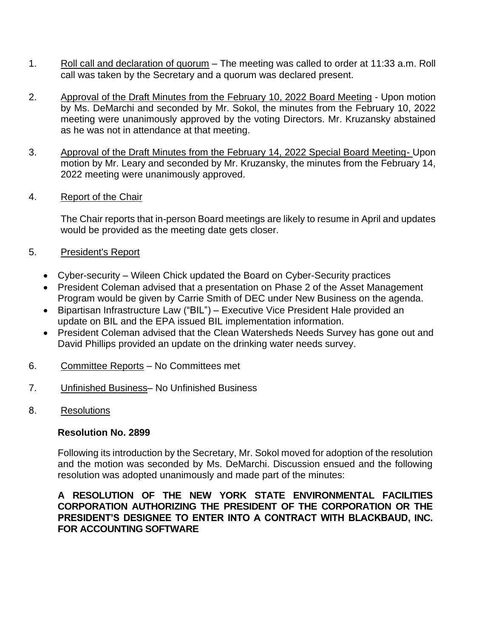- 1. Roll call and declaration of quorum The meeting was called to order at 11:33 a.m. Roll call was taken by the Secretary and a quorum was declared present.
- by Ms. DeMarchi and seconded by Mr. Sokol, the minutes from the February 10, 2022 meeting were unanimously approved by the voting Directors. Mr. Kruzansky abstained 2. Approval of the Draft Minutes from the February 10, 2022 Board Meeting - Upon motion as he was not in attendance at that meeting.
- 3. Approval of the Draft Minutes from the February 14, 2022 Special Board Meeting- Upon motion by Mr. Leary and seconded by Mr. Kruzansky, the minutes from the February 14, 2022 meeting were unanimously approved.<br>4. Report of the Chair
- 

 The Chair reports that in-person Board meetings are likely to resume in April and updates would be provided as the meeting date gets closer.

- 5. President's Report
	- Cyber-security Wileen Chick updated the Board on Cyber-Security practices
	- • President Coleman advised that a presentation on Phase 2 of the Asset Management Program would be given by Carrie Smith of DEC under New Business on the agenda.
	- update on BIL and the EPA issued BIL implementation information. • Bipartisan Infrastructure Law ("BIL") – Executive Vice President Hale provided an
	- • President Coleman advised that the Clean Watersheds Needs Survey has gone out and David Phillips provided an update on the drinking water needs survey.
- 6. Committee Reports No Committees met
- 7. Unfinished Business– No Unfinished Business
- 8. Resolutions

# **Resolution No. 2899**

 Following its introduction by the Secretary, Mr. Sokol moved for adoption of the resolution and the motion was seconded by Ms. DeMarchi. Discussion ensued and the following resolution was adopted unanimously and made part of the minutes:

# **A RESOLUTION OF THE NEW YORK STATE ENVIRONMENTAL FACILITIES CORPORATION AUTHORIZING THE PRESIDENT OF THE CORPORATION OR THE PRESIDENT'S DESIGNEE TO ENTER INTO A CONTRACT WITH BLACKBAUD, INC. FOR ACCOUNTING SOFTWARE**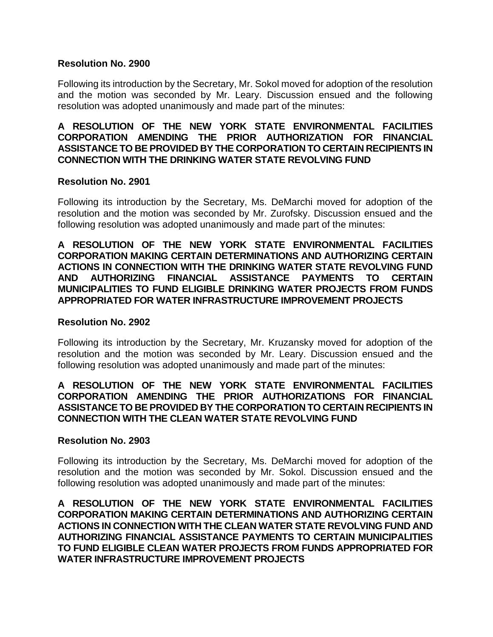#### **Resolution No. 2900**

 Following its introduction by the Secretary, Mr. Sokol moved for adoption of the resolution and the motion was seconded by Mr. Leary. Discussion ensued and the following resolution was adopted unanimously and made part of the minutes:

# **A RESOLUTION OF THE NEW YORK STATE ENVIRONMENTAL FACILITIES CORPORATION AMENDING THE PRIOR AUTHORIZATION FOR FINANCIAL ASSISTANCE TO BE PROVIDED BY THE CORPORATION TO CERTAIN RECIPIENTS IN CONNECTION WITH THE DRINKING WATER STATE REVOLVING FUND**

### **Resolution No. 2901**

 Following its introduction by the Secretary, Ms. DeMarchi moved for adoption of the resolution and the motion was seconded by Mr. Zurofsky. Discussion ensued and the following resolution was adopted unanimously and made part of the minutes:

# **A RESOLUTION OF THE NEW YORK STATE ENVIRONMENTAL FACILITIES CORPORATION MAKING CERTAIN DETERMINATIONS AND AUTHORIZING CERTAIN ACTIONS IN CONNECTION WITH THE DRINKING WATER STATE REVOLVING FUND AND AUTHORIZING FINANCIAL ASSISTANCE PAYMENTS TO CERTAIN MUNICIPALITIES TO FUND ELIGIBLE DRINKING WATER PROJECTS FROM FUNDS APPROPRIATED FOR WATER INFRASTRUCTURE IMPROVEMENT PROJECTS**

#### **Resolution No. 2902**

 Following its introduction by the Secretary, Mr. Kruzansky moved for adoption of the resolution and the motion was seconded by Mr. Leary. Discussion ensued and the following resolution was adopted unanimously and made part of the minutes:

# **A RESOLUTION OF THE NEW YORK STATE ENVIRONMENTAL FACILITIES CORPORATION AMENDING THE PRIOR AUTHORIZATIONS FOR FINANCIAL ASSISTANCE TO BE PROVIDED BY THE CORPORATION TO CERTAIN RECIPIENTS IN CONNECTION WITH THE CLEAN WATER STATE REVOLVING FUND**

#### **Resolution No. 2903**

 Following its introduction by the Secretary, Ms. DeMarchi moved for adoption of the resolution and the motion was seconded by Mr. Sokol. Discussion ensued and the following resolution was adopted unanimously and made part of the minutes:

 **A RESOLUTION OF THE NEW YORK STATE ENVIRONMENTAL FACILITIES CORPORATION MAKING CERTAIN DETERMINATIONS AND AUTHORIZING CERTAIN ACTIONS IN CONNECTION WITH THE CLEAN WATER STATE REVOLVING FUND AND AUTHORIZING FINANCIAL ASSISTANCE PAYMENTS TO CERTAIN MUNICIPALITIES TO FUND ELIGIBLE CLEAN WATER PROJECTS FROM FUNDS APPROPRIATED FOR WATER INFRASTRUCTURE IMPROVEMENT PROJECTS**